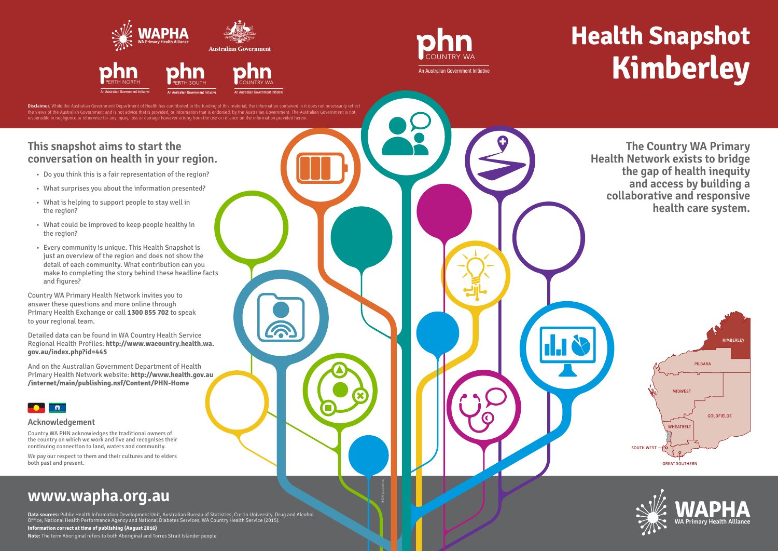### **This snapshot aims to start the conversation on health in your region.**

- Do you think this is a fair representation of the region?
- What surprises you about the information presented?
- What is helping to support people to stay well in the region?
- What could be improved to keep people healthy in the region?
- Every community is unique. This Health Snapshot is just an overview of the region and does not show the detail of each community. What contribution can you make to completing the story behind these headline facts and figures?

Country WA Primary Health Network invites you to answer these questions and more online through Primary Health Exchange or call **1300 855 702** to speak to your regional team.

Detailed data can be found in WA Country Health Service Regional Health Profiles: **http://www.wacountry.health.wa. gov.au/index.php?id=445**

And on the Australian Government Department of Health Primary Health Network website: **http://www.health.gov.au /internet/main/publishing.nsf/Content/PHN-Home**



**Data sources:** Public Health Information Development Unit, Australian Bureau of Statistics, Curtin University, Drug and Alcohol Office, National Health Performance Agency and National Diabetes Services, WA Country Health Service (2015).

Disclaimer. While the Australian Government Department of Health has contributed to the funding of this material, the information contained in it does not necessarily reflect the views of the Australian Government and is not advice that is provided, or information that is endorsed, by the Australian Government. The Australian Government is not responsible in negligence or otherwise for any injury, loss or damage however arising from the use or reliance on the information provided herein.

6

**Information correct at time of publishing (August 2016)**

**Note:** The term Aboriginal refers to both Aboriginal and Torres Strait Islander people

# **Health Snapshot Kimberley**

# **www.wapha.org.au**

8526 jaz.com.au

#### **Acknowledgement**

Country WA PHN acknowledges the traditional owners of the country on which we work and live and recognises their continuing connection to land, waters and community.

We pay our respect to them and their cultures and to elders both past and present.

**The Country WA Primary Health Network exists to bridge the gap of health inequity and access by building a collaborative and responsive health care system.**







An Australian Government Initiative